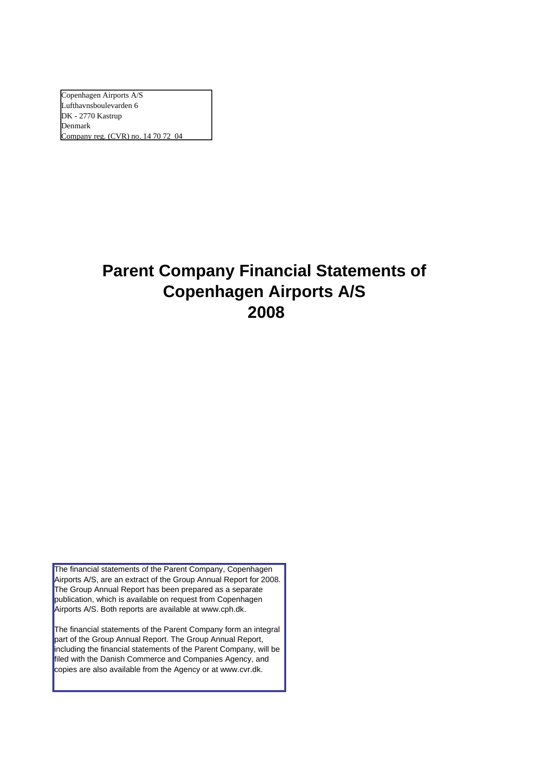Copenhagen Airports A/S Lufthavnsboulevarden 6 DK - 2770 Kastrup Denmark Company reg. (CVR) no. 14 70 72 04

# **Parent Company Financial Statements of Copenhagen Airports A/S 2008**

The financial statements of the Parent Company, Copenhagen Airports A/S, are an extract of the Group Annual Report for 2008. The Group Annual Report has been prepared as a separate publication, which is available on request from Copenhagen Airports A/S. Both reports are available at www.cph.dk.

The financial statements of the Parent Company form an integral part of the Group Annual Report. The Group Annual Report, including the financial statements of the Parent Company, will be filed with the Danish Commerce and Companies Agency, and copies are also available from the Agency or at www.cvr.dk.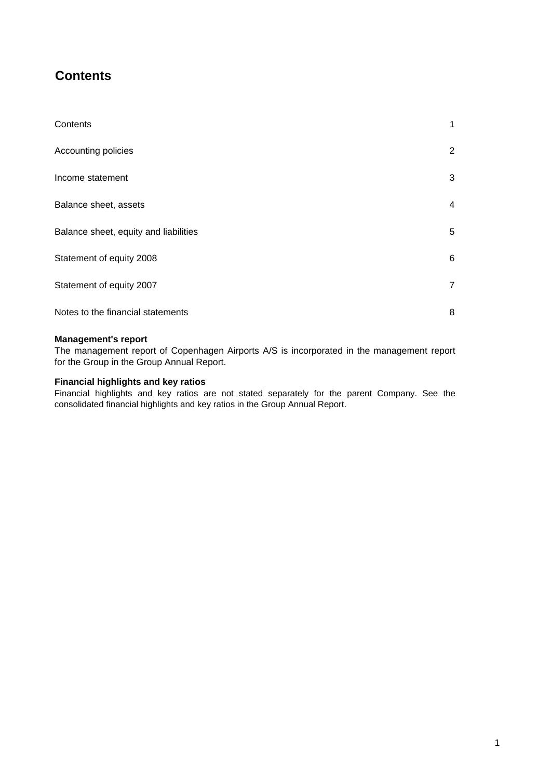## **Contents**

| Contents                              | 1              |
|---------------------------------------|----------------|
| Accounting policies                   | $\overline{2}$ |
| Income statement                      | 3              |
| Balance sheet, assets                 | 4              |
| Balance sheet, equity and liabilities | 5              |
| Statement of equity 2008              | 6              |
| Statement of equity 2007              | $\overline{7}$ |
| Notes to the financial statements     | 8              |

#### **Management's report**

The management report of Copenhagen Airports A/S is incorporated in the management report for the Group in the Group Annual Report.

### **Financial highlights and key ratios**

Financial highlights and key ratios are not stated separately for the parent Company. See the consolidated financial highlights and key ratios in the Group Annual Report.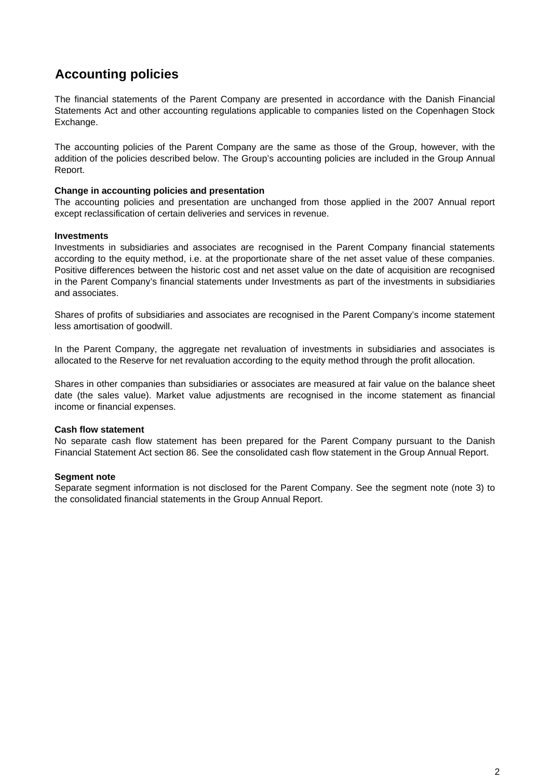### **Accounting policies**

The financial statements of the Parent Company are presented in accordance with the Danish Financial Statements Act and other accounting regulations applicable to companies listed on the Copenhagen Stock Exchange.

The accounting policies of the Parent Company are the same as those of the Group, however, with the addition of the policies described below. The Group's accounting policies are included in the Group Annual Report.

#### **Change in accounting policies and presentation**

The accounting policies and presentation are unchanged from those applied in the 2007 Annual report except reclassification of certain deliveries and services in revenue.

#### **Investments**

Investments in subsidiaries and associates are recognised in the Parent Company financial statements according to the equity method, i.e. at the proportionate share of the net asset value of these companies. Positive differences between the historic cost and net asset value on the date of acquisition are recognised in the Parent Company's financial statements under Investments as part of the investments in subsidiaries and associates.

Shares of profits of subsidiaries and associates are recognised in the Parent Company's income statement less amortisation of goodwill.

In the Parent Company, the aggregate net revaluation of investments in subsidiaries and associates is allocated to the Reserve for net revaluation according to the equity method through the profit allocation.

Shares in other companies than subsidiaries or associates are measured at fair value on the balance sheet date (the sales value). Market value adjustments are recognised in the income statement as financial income or financial expenses.

#### **Cash flow statement**

No separate cash flow statement has been prepared for the Parent Company pursuant to the Danish Financial Statement Act section 86. See the consolidated cash flow statement in the Group Annual Report.

#### **Segment note**

Separate segment information is not disclosed for the Parent Company. See the segment note (note 3) to the consolidated financial statements in the Group Annual Report.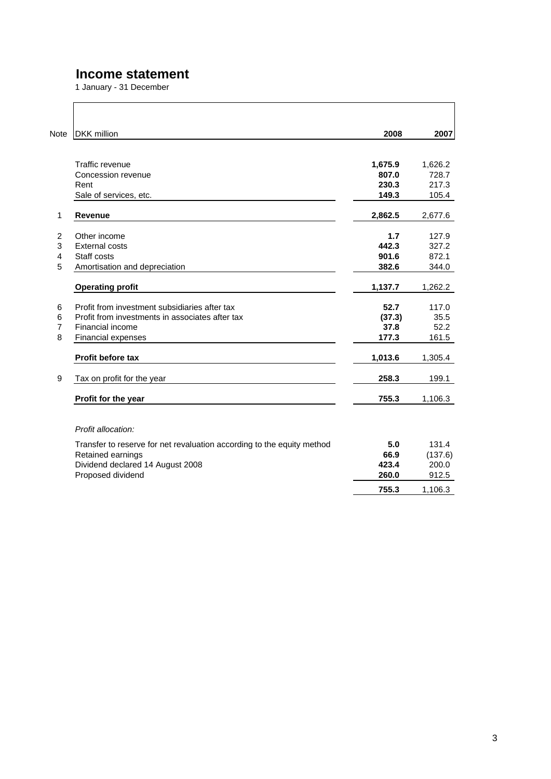### **Income statement**

1 January - 31 December

| <b>Note</b>    | <b>DKK</b> million                                                     | 2008    | 2007    |
|----------------|------------------------------------------------------------------------|---------|---------|
|                | Traffic revenue                                                        | 1,675.9 | 1,626.2 |
|                | Concession revenue                                                     | 807.0   | 728.7   |
|                | Rent                                                                   | 230.3   | 217.3   |
|                | Sale of services, etc.                                                 | 149.3   | 105.4   |
| 1              | <b>Revenue</b>                                                         | 2,862.5 | 2,677.6 |
| $\overline{2}$ | Other income                                                           | 1.7     | 127.9   |
| 3              | <b>External costs</b>                                                  | 442.3   | 327.2   |
| 4              | Staff costs                                                            | 901.6   | 872.1   |
| 5              | Amortisation and depreciation                                          | 382.6   | 344.0   |
|                | <b>Operating profit</b>                                                | 1,137.7 | 1,262.2 |
| 6              | Profit from investment subsidiaries after tax                          | 52.7    | 117.0   |
| 6              | Profit from investments in associates after tax                        | (37.3)  | 35.5    |
| $\overline{7}$ | Financial income                                                       | 37.8    | 52.2    |
| 8              | Financial expenses                                                     | 177.3   | 161.5   |
|                | Profit before tax                                                      | 1,013.6 | 1,305.4 |
| 9              | Tax on profit for the year                                             | 258.3   | 199.1   |
|                | Profit for the year                                                    | 755.3   | 1,106.3 |
|                | Profit allocation:                                                     |         |         |
|                | Transfer to reserve for net revaluation according to the equity method | 5.0     | 131.4   |
|                | Retained earnings                                                      | 66.9    | (137.6) |
|                | Dividend declared 14 August 2008                                       | 423.4   | 200.0   |
|                | Proposed dividend                                                      | 260.0   | 912.5   |
|                |                                                                        | 755.3   | 1,106.3 |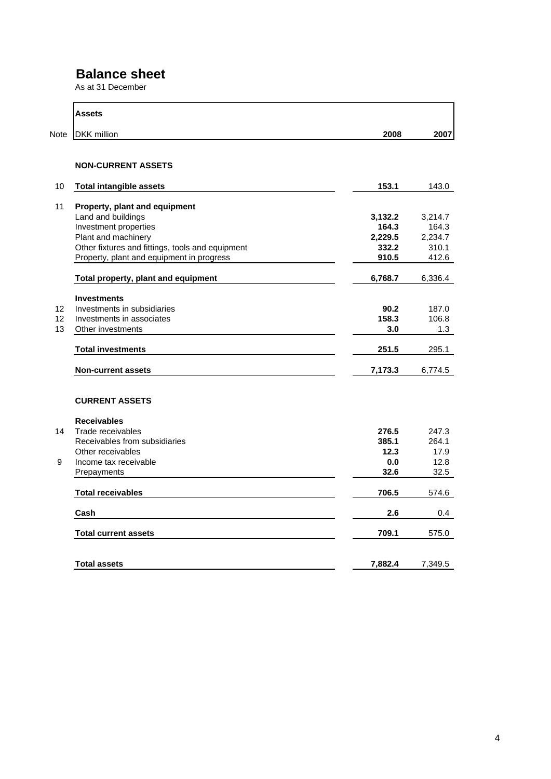### **Balance sheet**

As at 31 December

|      | Assets                                           |         |         |
|------|--------------------------------------------------|---------|---------|
| Note | <b>DKK</b> million                               | 2008    | 2007    |
|      | <b>NON-CURRENT ASSETS</b>                        |         |         |
| 10   | <b>Total intangible assets</b>                   | 153.1   | 143.0   |
| 11   | Property, plant and equipment                    |         |         |
|      | Land and buildings                               | 3,132.2 | 3,214.7 |
|      | Investment properties                            | 164.3   | 164.3   |
|      | Plant and machinery                              | 2,229.5 | 2,234.7 |
|      | Other fixtures and fittings, tools and equipment | 332.2   | 310.1   |
|      | Property, plant and equipment in progress        | 910.5   | 412.6   |
|      | Total property, plant and equipment              | 6,768.7 | 6,336.4 |
|      | <b>Investments</b>                               |         |         |
| 12   | Investments in subsidiaries                      | 90.2    | 187.0   |
| 12   | Investments in associates                        | 158.3   | 106.8   |
| 13   | Other investments                                | 3.0     | 1.3     |
|      | <b>Total investments</b>                         | 251.5   | 295.1   |
|      | <b>Non-current assets</b>                        | 7,173.3 | 6,774.5 |
|      | <b>CURRENT ASSETS</b>                            |         |         |
|      | <b>Receivables</b>                               |         |         |
| 14   | Trade receivables                                | 276.5   | 247.3   |
|      | Receivables from subsidiaries                    | 385.1   | 264.1   |
|      | Other receivables                                | 12.3    | 17.9    |
| 9    | Income tax receivable                            | 0.0     | 12.8    |
|      | Prepayments                                      | 32.6    | 32.5    |
|      | <b>Total receivables</b>                         | 706.5   | 574.6   |
|      | Cash                                             | 2.6     | 0.4     |
|      | <b>Total current assets</b>                      | 709.1   | 575.0   |
|      | <b>Total assets</b>                              | 7,882.4 | 7,349.5 |
|      |                                                  |         |         |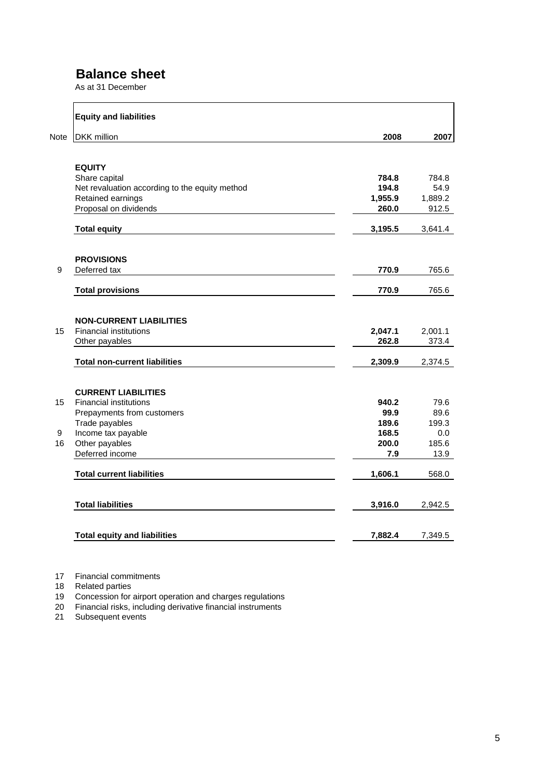### **Balance sheet**

As at 31 December

|             | <b>Equity and liabilities</b>                  |         |         |
|-------------|------------------------------------------------|---------|---------|
| <b>Note</b> | <b>DKK</b> million                             | 2008    | 2007    |
|             | <b>EQUITY</b>                                  |         |         |
|             | Share capital                                  | 784.8   | 784.8   |
|             | Net revaluation according to the equity method | 194.8   | 54.9    |
|             | Retained earnings                              | 1,955.9 | 1,889.2 |
|             | Proposal on dividends                          | 260.0   | 912.5   |
|             | <b>Total equity</b>                            | 3,195.5 | 3,641.4 |
|             | <b>PROVISIONS</b>                              |         |         |
| 9           | Deferred tax                                   | 770.9   | 765.6   |
|             | <b>Total provisions</b>                        | 770.9   | 765.6   |
|             |                                                |         |         |
|             | <b>NON-CURRENT LIABILITIES</b>                 |         |         |
| 15          | <b>Financial institutions</b>                  | 2,047.1 | 2,001.1 |
|             | Other payables                                 | 262.8   | 373.4   |
|             | <b>Total non-current liabilities</b>           | 2,309.9 | 2,374.5 |
|             | <b>CURRENT LIABILITIES</b>                     |         |         |
| 15          | <b>Financial institutions</b>                  | 940.2   | 79.6    |
|             | Prepayments from customers                     | 99.9    | 89.6    |
|             | Trade payables                                 | 189.6   | 199.3   |
| 9           | Income tax payable                             | 168.5   | 0.0     |
| 16          | Other payables                                 | 200.0   | 185.6   |
|             | Deferred income                                | 7.9     | 13.9    |
|             | <b>Total current liabilities</b>               | 1,606.1 | 568.0   |
|             | <b>Total liabilities</b>                       | 3,916.0 | 2,942.5 |
|             | <b>Total equity and liabilities</b>            | 7,882.4 | 7,349.5 |

17 Financial commitments

18 Related parties

19 Concession for airport operation and charges regulations

20 Financial risks, including derivative financial instruments

21 Subsequent events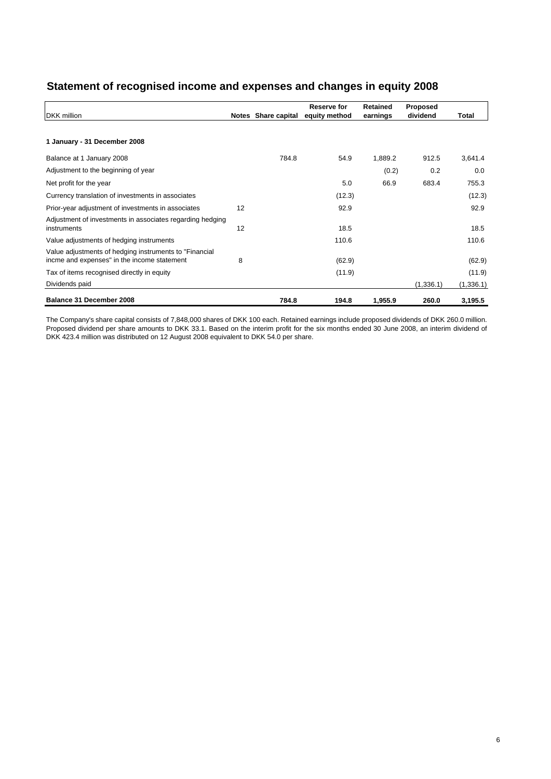| Statement of recognised income and expenses and changes in equity 2008 |  |  |
|------------------------------------------------------------------------|--|--|
|                                                                        |  |  |

|                                                                                                        |    |                     | Reserve for   | <b>Retained</b> | Proposed  |           |
|--------------------------------------------------------------------------------------------------------|----|---------------------|---------------|-----------------|-----------|-----------|
| <b>DKK</b> million                                                                                     |    | Notes Share capital | equity method | earnings        | dividend  | Total     |
|                                                                                                        |    |                     |               |                 |           |           |
| 1 January - 31 December 2008                                                                           |    |                     |               |                 |           |           |
| Balance at 1 January 2008                                                                              |    | 784.8               | 54.9          | 1,889.2         | 912.5     | 3,641.4   |
| Adjustment to the beginning of year                                                                    |    |                     |               | (0.2)           | 0.2       | 0.0       |
| Net profit for the year                                                                                |    |                     | 5.0           | 66.9            | 683.4     | 755.3     |
| Currency translation of investments in associates                                                      |    |                     | (12.3)        |                 |           | (12.3)    |
| Prior-year adjustment of investments in associates                                                     | 12 |                     | 92.9          |                 |           | 92.9      |
| Adjustment of investments in associates regarding hedging<br>instruments                               | 12 |                     | 18.5          |                 |           | 18.5      |
| Value adjustments of hedging instruments                                                               |    |                     | 110.6         |                 |           | 110.6     |
| Value adjustments of hedging instruments to "Financial"<br>incme and expenses" in the income statement | 8  |                     | (62.9)        |                 |           | (62.9)    |
| Tax of items recognised directly in equity                                                             |    |                     | (11.9)        |                 |           | (11.9)    |
| Dividends paid                                                                                         |    |                     |               |                 | (1,336.1) | (1,336.1) |
| Balance 31 December 2008                                                                               |    | 784.8               | 194.8         | 1,955.9         | 260.0     | 3,195.5   |

The Company's share capital consists of 7,848,000 shares of DKK 100 each. Retained earnings include proposed dividends of DKK 260.0 million. Proposed dividend per share amounts to DKK 33.1. Based on the interim profit for the six months ended 30 June 2008, an interim dividend of DKK 423.4 million was distributed on 12 August 2008 equivalent to DKK 54.0 per share.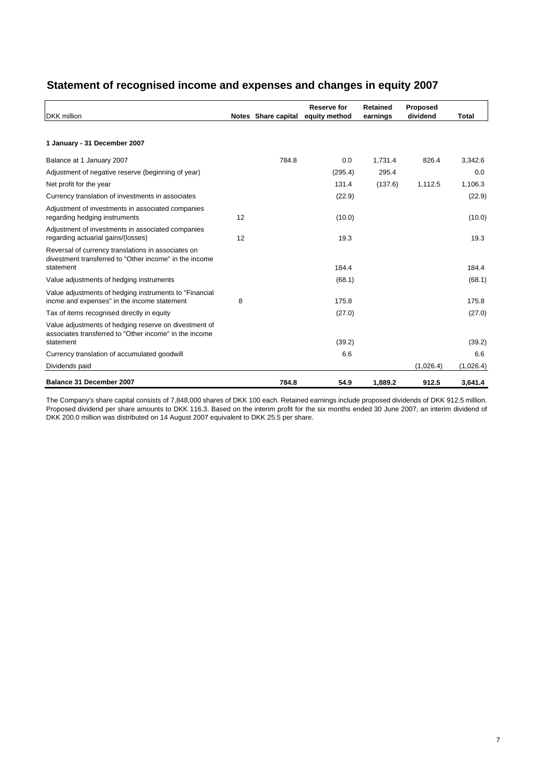| Statement of recognised income and expenses and changes in equity 2007 |
|------------------------------------------------------------------------|
|------------------------------------------------------------------------|

| <b>DKK</b> million                                                                                              |    |                     | Reserve for   | <b>Retained</b> | Proposed<br>dividend |           |
|-----------------------------------------------------------------------------------------------------------------|----|---------------------|---------------|-----------------|----------------------|-----------|
|                                                                                                                 |    | Notes Share capital | equity method | earnings        |                      | Total     |
| 1 January - 31 December 2007                                                                                    |    |                     |               |                 |                      |           |
| Balance at 1 January 2007                                                                                       |    | 784.8               | 0.0           | 1,731.4         | 826.4                | 3,342.6   |
| Adjustment of negative reserve (beginning of year)                                                              |    |                     | (295.4)       | 295.4           |                      | 0.0       |
| Net profit for the year                                                                                         |    |                     | 131.4         | (137.6)         | 1,112.5              | 1,106.3   |
| Currency translation of investments in associates                                                               |    |                     | (22.9)        |                 |                      | (22.9)    |
| Adjustment of investments in associated companies<br>regarding hedging instruments                              | 12 |                     | (10.0)        |                 |                      | (10.0)    |
| Adjustment of investments in associated companies<br>regarding actuarial gains/(losses)                         | 12 |                     | 19.3          |                 |                      | 19.3      |
| Reversal of currency translations in associates on<br>divestment transferred to "Other income" in the income    |    |                     |               |                 |                      |           |
| statement                                                                                                       |    |                     | 184.4         |                 |                      | 184.4     |
| Value adjustments of hedging instruments                                                                        |    |                     | (68.1)        |                 |                      | (68.1)    |
| Value adjustments of hedging instruments to "Financial"<br>incme and expenses" in the income statement          | 8  |                     | 175.8         |                 |                      | 175.8     |
| Tax of items recognised directly in equity                                                                      |    |                     | (27.0)        |                 |                      | (27.0)    |
| Value adjustments of hedging reserve on divestment of<br>associates transferred to "Other income" in the income |    |                     |               |                 |                      |           |
| statement                                                                                                       |    |                     | (39.2)        |                 |                      | (39.2)    |
| Currency translation of accumulated goodwill                                                                    |    |                     | 6.6           |                 |                      | 6.6       |
| Dividends paid                                                                                                  |    |                     |               |                 | (1,026.4)            | (1,026.4) |
| Balance 31 December 2007                                                                                        |    | 784.8               | 54.9          | 1.889.2         | 912.5                | 3.641.4   |

The Company's share capital consists of 7,848,000 shares of DKK 100 each. Retained earnings include proposed dividends of DKK 912.5 million. Proposed dividend per share amounts to DKK 116.3. Based on the interim profit for the six months ended 30 June 2007, an interim dividend of DKK 200.0 million was distributed on 14 August 2007 equivalent to DKK 25.5 per share.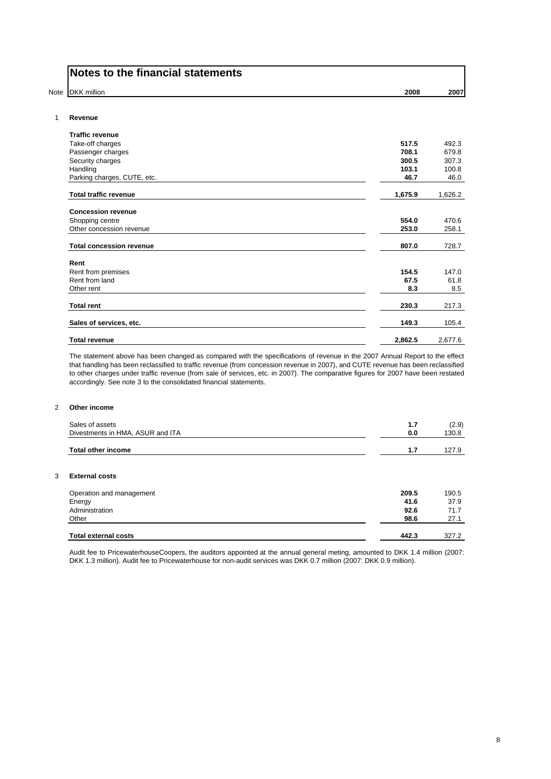| Notes to the financial statements |  |  |  |  |
|-----------------------------------|--|--|--|--|
|-----------------------------------|--|--|--|--|

Note DKK million **2008** 2007

#### 1 **Revenue**

| <b>Traffic revenue</b>          |         |         |
|---------------------------------|---------|---------|
| Take-off charges                | 517.5   | 492.3   |
| Passenger charges               | 708.1   | 679.8   |
| Security charges                | 300.5   | 307.3   |
| Handling                        | 103.1   | 100.8   |
| Parking charges, CUTE, etc.     | 46.7    | 46.0    |
| <b>Total traffic revenue</b>    | 1,675.9 | 1,626.2 |
| <b>Concession revenue</b>       |         |         |
| Shopping centre                 | 554.0   | 470.6   |
| Other concession revenue        | 253.0   | 258.1   |
| <b>Total concession revenue</b> | 807.0   | 728.7   |
| Rent                            |         |         |
| Rent from premises              | 154.5   | 147.0   |
| Rent from land                  | 67.5    | 61.8    |
| Other rent                      | 8.3     | 8.5     |
| <b>Total rent</b>               | 230.3   | 217.3   |
| Sales of services, etc.         | 149.3   | 105.4   |
| <b>Total revenue</b>            | 2,862.5 | 2,677.6 |

The statement above has been changed as compared with the specifications of revenue in the 2007 Annual Report to the effect that handling has been reclassified to traffic revenue (from concession revenue in 2007), and CUTE revenue has been reclassified to other charges under traffic revenue (from sale of services, etc. in 2007). The comparative figures for 2007 have been restated accordingly. See note 3 to the consolidated financial statements.

#### 2 **Other income**

| Sales of assets<br>Divestments in HMA, ASUR and ITA | 1.7<br>0.0 | (2.9)<br>130.8 |
|-----------------------------------------------------|------------|----------------|
| <b>Total other income</b>                           | 1.7        | 127.9          |
| 3<br><b>External costs</b>                          |            |                |
| Operation and management                            | 209.5      | 190.5          |
| Energy                                              | 41.6       | 37.9           |
| Administration                                      | 92.6       | 71.7           |
| Other                                               | 98.6       | 27.1           |
| <b>Total external costs</b>                         | 442.3      | 327.2          |

Audit fee to PricewaterhouseCoopers, the auditors appointed at the annual general meting, amounted to DKK 1.4 million (2007: DKK 1.3 million). Audit fee to Pricewaterhouse for non-audit services was DKK 0.7 million (2007: DKK 0.9 million).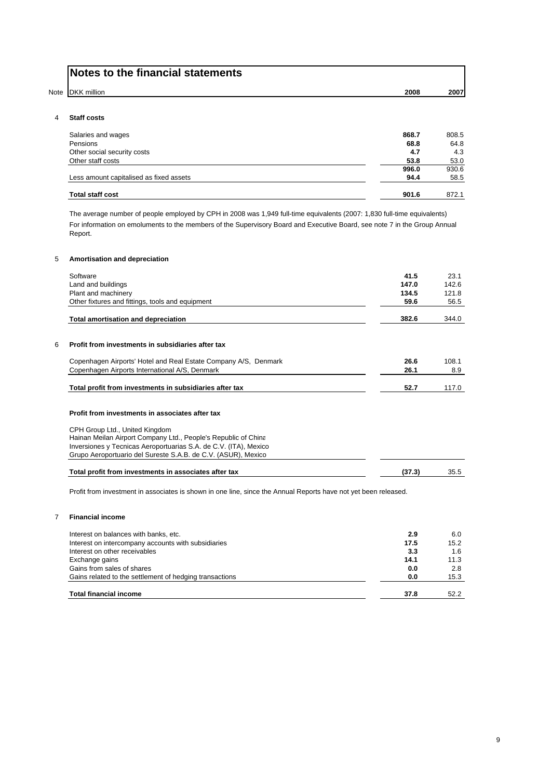| Notes to the financial statements |      |      |
|-----------------------------------|------|------|
| Note DKK million                  | 2008 | 2007 |

#### 4 **Staff costs**

| Salaries and wages                      | 868.7 | 808.5 |
|-----------------------------------------|-------|-------|
| Pensions                                | 68.8  | 64.8  |
| Other social security costs             | 4.7   | 4.3   |
| Other staff costs                       | 53.8  | 53.0  |
|                                         | 996.0 | 930.6 |
| Less amount capitalised as fixed assets | 94.4  | 58.5  |
| <b>Total staff cost</b>                 | 901.6 | 872.1 |

The average number of people employed by CPH in 2008 was 1,949 full-time equivalents (2007: 1,830 full-time equivalents) For information on emoluments to the members of the Supervisory Board and Executive Board, see note 7 in the Group Annual Report.

#### 5 **Amortisation and depreciation**

| Software                                                         | 41.5  | 23.1  |
|------------------------------------------------------------------|-------|-------|
| Land and buildings                                               | 147.0 | 142.6 |
| Plant and machinery                                              | 134.5 | 121.8 |
| Other fixtures and fittings, tools and equipment                 | 59.6  | 56.5  |
| <b>Total amortisation and depreciation</b>                       | 382.6 | 344.0 |
| Profit from investments in subsidiaries after tax                |       |       |
| Copenhagen Airports' Hotel and Real Estate Company A/S, Denmark  | 26.6  | 108.1 |
| Copenhagen Airports International A/S, Denmark                   | 26.1  | 8.9   |
| Total profit from investments in subsidiaries after tax          | 52.7  | 117.0 |
| Profit from investments in associates after tax                  |       |       |
|                                                                  |       |       |
| CPH Group Ltd., United Kingdom                                   |       |       |
| Hainan Meilan Airport Company Ltd., People's Republic of China   |       |       |
| Inversiones y Tecnicas Aeroportuarias S.A. de C.V. (ITA), Mexico |       |       |
| Grupo Aeroportuario del Sureste S.A.B. de C.V. (ASUR), Mexico    |       |       |

Profit from investment in associates is shown in one line, since the Annual Reports have not yet been released.

#### 7 **Financial income**

| Interest on balances with banks, etc.                   | 2.9  | 6.0  |
|---------------------------------------------------------|------|------|
| Interest on intercompany accounts with subsidiaries     | 17.5 | 15.2 |
| Interest on other receivables                           | 3.3  | 1.6  |
| Exchange gains                                          | 14.1 | 11.3 |
| Gains from sales of shares                              | 0.0  | 2.8  |
| Gains related to the settlement of hedging transactions | 0.0  | 15.3 |
| <b>Total financial income</b>                           | 37.8 | 52.2 |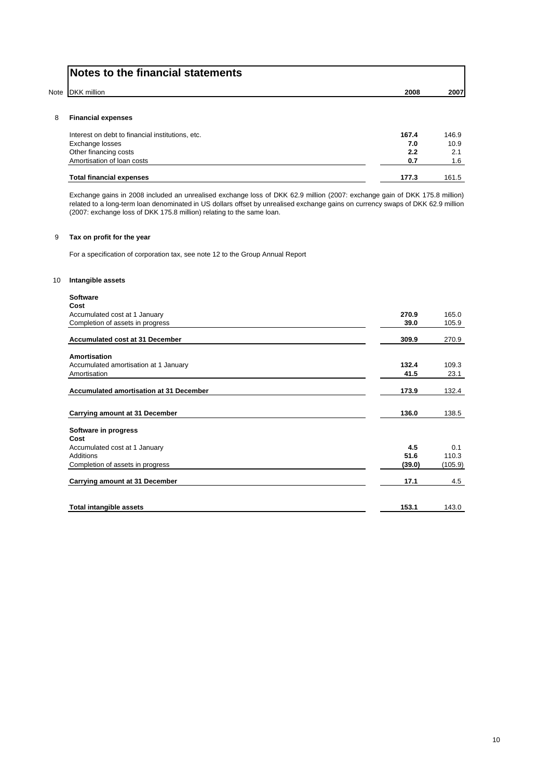|   | Notes to the financial statements |      |      |
|---|-----------------------------------|------|------|
|   | Note DKK million                  | 2008 | 2007 |
| 8 | <b>Financial expenses</b>         |      |      |

| Interest on debt to financial institutions, etc. | 167.4 | 146.9 |
|--------------------------------------------------|-------|-------|
| Exchange losses                                  | 7.0   | 10.9  |
| Other financing costs                            | 2.2   |       |
| Amortisation of loan costs                       | 0.7   | 1.6   |
|                                                  |       |       |
| <b>Total financial expenses</b>                  | 177.3 | 161.5 |

Exchange gains in 2008 included an unrealised exchange loss of DKK 62.9 million (2007: exchange gain of DKK 175.8 million) related to a long-term loan denominated in US dollars offset by unrealised exchange gains on currency swaps of DKK 62.9 million (2007: exchange loss of DKK 175.8 million) relating to the same loan.

#### 9 **Tax on profit for the year**

For a specification of corporation tax, see note 12 to the Group Annual Report

#### 10 **Intangible assets**

| <b>Software</b>                                |        |         |
|------------------------------------------------|--------|---------|
| Cost                                           |        |         |
| Accumulated cost at 1 January                  | 270.9  | 165.0   |
| Completion of assets in progress               | 39.0   | 105.9   |
| Accumulated cost at 31 December                | 309.9  | 270.9   |
| Amortisation                                   |        |         |
| Accumulated amortisation at 1 January          | 132.4  | 109.3   |
| Amortisation                                   | 41.5   | 23.1    |
|                                                |        |         |
| <b>Accumulated amortisation at 31 December</b> | 173.9  | 132.4   |
|                                                |        |         |
| Carrying amount at 31 December                 | 136.0  | 138.5   |
| Software in progress                           |        |         |
| Cost                                           |        |         |
| Accumulated cost at 1 January                  | 4.5    | 0.1     |
| Additions                                      | 51.6   | 110.3   |
| Completion of assets in progress               | (39.0) | (105.9) |
| Carrying amount at 31 December                 | 17.1   | 4.5     |
|                                                |        |         |
| <b>Total intangible assets</b>                 | 153.1  | 143.0   |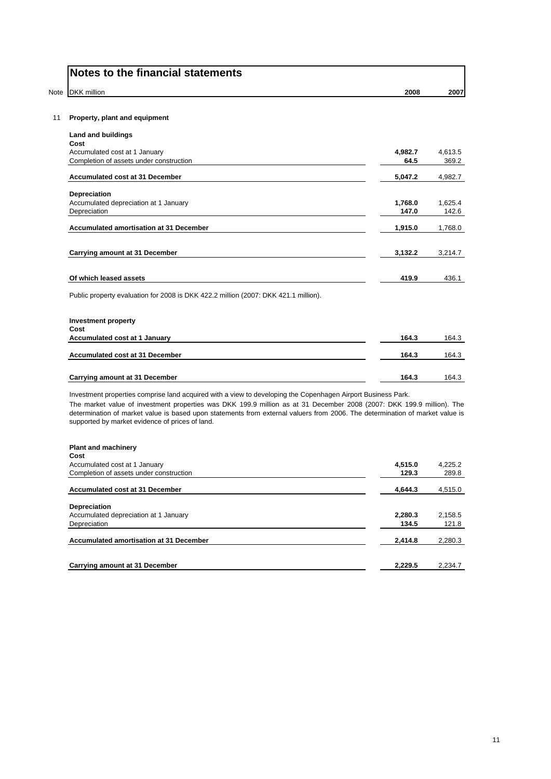| <b>DKK</b> million                                                                                                                                                                                                                                    | 2008            |                  |
|-------------------------------------------------------------------------------------------------------------------------------------------------------------------------------------------------------------------------------------------------------|-----------------|------------------|
| Property, plant and equipment                                                                                                                                                                                                                         |                 |                  |
| Land and buildings                                                                                                                                                                                                                                    |                 |                  |
| Cost                                                                                                                                                                                                                                                  |                 |                  |
| Accumulated cost at 1 January<br>Completion of assets under construction                                                                                                                                                                              | 4,982.7<br>64.5 | 4,613.5<br>369.2 |
|                                                                                                                                                                                                                                                       |                 |                  |
| <b>Accumulated cost at 31 December</b>                                                                                                                                                                                                                | 5,047.2         | 4,982.7          |
| <b>Depreciation</b>                                                                                                                                                                                                                                   |                 |                  |
| Accumulated depreciation at 1 January                                                                                                                                                                                                                 | 1,768.0         | 1,625.4          |
| Depreciation                                                                                                                                                                                                                                          | 147.0           | 142.6            |
| <b>Accumulated amortisation at 31 December</b>                                                                                                                                                                                                        | 1,915.0         | 1,768.0          |
|                                                                                                                                                                                                                                                       |                 |                  |
|                                                                                                                                                                                                                                                       |                 |                  |
| Carrying amount at 31 December                                                                                                                                                                                                                        | 3.132.2         | 3,214.7          |
|                                                                                                                                                                                                                                                       |                 |                  |
| Of which leased assets                                                                                                                                                                                                                                | 419.9           | 436.1            |
| Public property evaluation for 2008 is DKK 422.2 million (2007: DKK 421.1 million).                                                                                                                                                                   |                 |                  |
| <b>Investment property</b>                                                                                                                                                                                                                            |                 |                  |
| Cost<br>Accumulated cost at 1 January                                                                                                                                                                                                                 | 164.3           | 164.3            |
|                                                                                                                                                                                                                                                       |                 |                  |
| <b>Accumulated cost at 31 December</b>                                                                                                                                                                                                                | 164.3           | 164.3            |
|                                                                                                                                                                                                                                                       |                 |                  |
| Carrying amount at 31 December                                                                                                                                                                                                                        | 164.3           | 164.3            |
| Investment properties comprise land acquired with a view to developing the Copenhagen Airport Business Park.                                                                                                                                          |                 |                  |
| The market value of investment properties was DKK 199.9 million as at 31 December 2008 (2007: DKK 199.9 million). The<br>determination of market value is based upon statements from external valuers from 2006. The determination of market value is |                 |                  |
| supported by market evidence of prices of land.                                                                                                                                                                                                       |                 |                  |

| Accumulated cost at 1 January           | 4,515.0 | 4,225.2 |
|-----------------------------------------|---------|---------|
| Completion of assets under construction | 129.3   | 289.8   |
| Accumulated cost at 31 December         | 4.644.3 | 4,515.0 |
| Depreciation                            |         |         |
| Accumulated depreciation at 1 January   | 2,280.3 | 2,158.5 |
| Depreciation                            | 134.5   | 121.8   |
| Accumulated amortisation at 31 December | 2,414.8 | 2,280.3 |
|                                         |         |         |
| Carrying amount at 31 December          | 2,229.5 | 2.234.7 |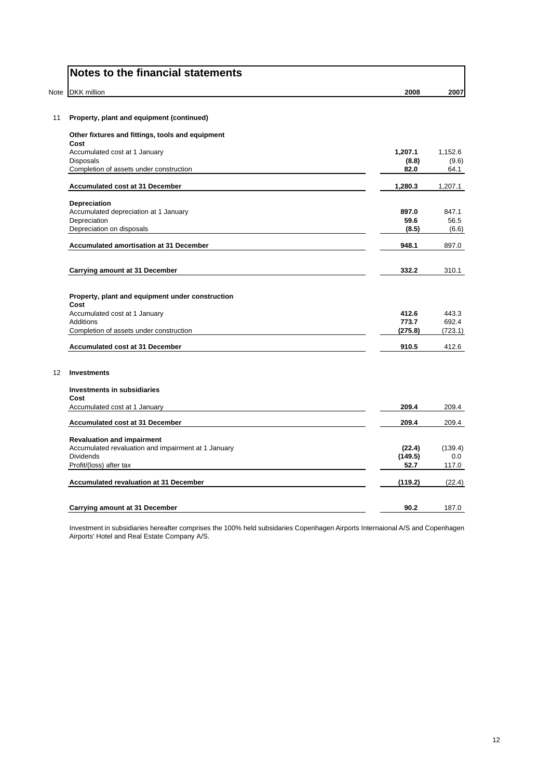|      | Notes to the financial statements                        |         |         |
|------|----------------------------------------------------------|---------|---------|
| Note | <b>DKK</b> million                                       | 2008    | 2007    |
| 11   | Property, plant and equipment (continued)                |         |         |
|      | Other fixtures and fittings, tools and equipment<br>Cost |         |         |
|      | Accumulated cost at 1 January                            | 1,207.1 | 1,152.6 |
|      | Disposals                                                | (8.8)   | (9.6)   |
|      | Completion of assets under construction                  | 82.0    | 64.1    |
|      | <b>Accumulated cost at 31 December</b>                   | 1,280.3 | 1,207.1 |
|      | <b>Depreciation</b>                                      |         |         |
|      | Accumulated depreciation at 1 January                    | 897.0   | 847.1   |
|      | Depreciation                                             | 59.6    | 56.5    |
|      | Depreciation on disposals                                | (8.5)   | (6.6)   |
|      | <b>Accumulated amortisation at 31 December</b>           | 948.1   | 897.0   |
|      | Carrying amount at 31 December                           | 332.2   | 310.1   |
|      | Property, plant and equipment under construction<br>Cost |         |         |
|      | Accumulated cost at 1 January                            | 412.6   | 443.3   |
|      | Additions                                                | 773.7   | 692.4   |
|      | Completion of assets under construction                  | (275.8) | (723.1) |
|      | Accumulated cost at 31 December                          | 910.5   | 412.6   |
| 12   | <b>Investments</b>                                       |         |         |
|      | Investments in subsidiaries<br>Cost                      |         |         |
|      | Accumulated cost at 1 January                            | 209.4   | 209.4   |
|      | Accumulated cost at 31 December                          | 209.4   | 209.4   |
|      | <b>Revaluation and impairment</b>                        |         |         |
|      | Accumulated revaluation and impairment at 1 January      | (22.4)  | (139.4) |
|      | <b>Dividends</b>                                         | (149.5) | 0.0     |
|      | Profit/(loss) after tax                                  | 52.7    | 117.0   |
|      | <b>Accumulated revaluation at 31 December</b>            | (119.2) | (22.4)  |
|      | <b>Carrying amount at 31 December</b>                    | 90.2    | 187.0   |
|      |                                                          |         |         |

Investment in subsidiaries hereafter comprises the 100% held subsidaries Copenhagen Airports Internaional A/S and Copenhagen Airports' Hotel and Real Estate Company A/S.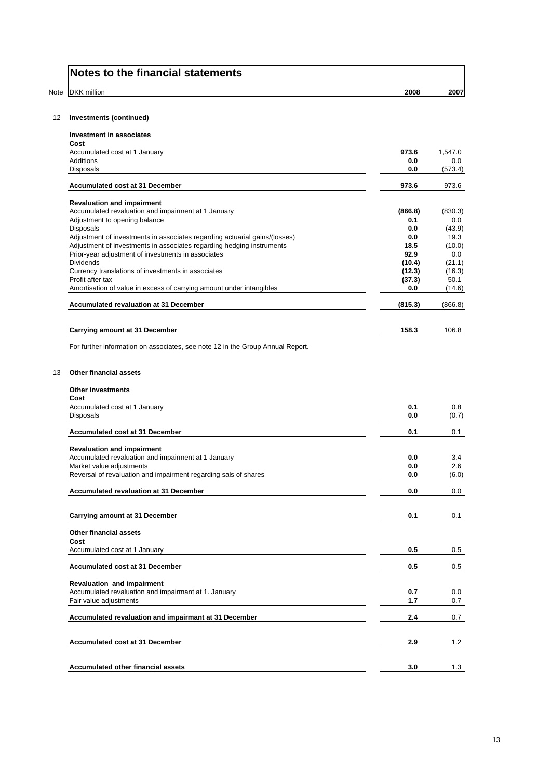| <b>DKK</b> million                                                                                                                                                                                                                                                                                                                                                                                                                                                                                                                                                                                                                                                                                                   | 2008         | 2007                                                      |
|----------------------------------------------------------------------------------------------------------------------------------------------------------------------------------------------------------------------------------------------------------------------------------------------------------------------------------------------------------------------------------------------------------------------------------------------------------------------------------------------------------------------------------------------------------------------------------------------------------------------------------------------------------------------------------------------------------------------|--------------|-----------------------------------------------------------|
|                                                                                                                                                                                                                                                                                                                                                                                                                                                                                                                                                                                                                                                                                                                      |              |                                                           |
| <b>Investments (continued)</b>                                                                                                                                                                                                                                                                                                                                                                                                                                                                                                                                                                                                                                                                                       |              |                                                           |
| <b>Investment in associates</b><br>Cost                                                                                                                                                                                                                                                                                                                                                                                                                                                                                                                                                                                                                                                                              |              |                                                           |
| Accumulated cost at 1 January                                                                                                                                                                                                                                                                                                                                                                                                                                                                                                                                                                                                                                                                                        | 973.6        | 1,547.0                                                   |
| Additions                                                                                                                                                                                                                                                                                                                                                                                                                                                                                                                                                                                                                                                                                                            | 0.0          | 0.0                                                       |
| Disposals                                                                                                                                                                                                                                                                                                                                                                                                                                                                                                                                                                                                                                                                                                            | 0.0          | (573.4)                                                   |
| Accumulated cost at 31 December                                                                                                                                                                                                                                                                                                                                                                                                                                                                                                                                                                                                                                                                                      | 973.6        | 973.6                                                     |
| <b>Revaluation and impairment</b>                                                                                                                                                                                                                                                                                                                                                                                                                                                                                                                                                                                                                                                                                    |              |                                                           |
|                                                                                                                                                                                                                                                                                                                                                                                                                                                                                                                                                                                                                                                                                                                      | (866.8)      | (830.3)                                                   |
|                                                                                                                                                                                                                                                                                                                                                                                                                                                                                                                                                                                                                                                                                                                      | 0.1          | 0.0                                                       |
|                                                                                                                                                                                                                                                                                                                                                                                                                                                                                                                                                                                                                                                                                                                      | 0.0          | (43.9)                                                    |
|                                                                                                                                                                                                                                                                                                                                                                                                                                                                                                                                                                                                                                                                                                                      | 0.0          | 19.3                                                      |
|                                                                                                                                                                                                                                                                                                                                                                                                                                                                                                                                                                                                                                                                                                                      | 18.5<br>92.9 | (10.0)                                                    |
| <b>Dividends</b>                                                                                                                                                                                                                                                                                                                                                                                                                                                                                                                                                                                                                                                                                                     | (10.4)       | 0.0<br>(21.1)                                             |
|                                                                                                                                                                                                                                                                                                                                                                                                                                                                                                                                                                                                                                                                                                                      | (12.3)       | (16.3)                                                    |
| Profit after tax                                                                                                                                                                                                                                                                                                                                                                                                                                                                                                                                                                                                                                                                                                     | (37.3)       | 50.1                                                      |
| Amortisation of value in excess of carrying amount under intangibles                                                                                                                                                                                                                                                                                                                                                                                                                                                                                                                                                                                                                                                 | 0.0          | (14.6)                                                    |
| <b>Accumulated revaluation at 31 December</b>                                                                                                                                                                                                                                                                                                                                                                                                                                                                                                                                                                                                                                                                        | (815.3)      | (866.8)                                                   |
|                                                                                                                                                                                                                                                                                                                                                                                                                                                                                                                                                                                                                                                                                                                      |              |                                                           |
| Carrying amount at 31 December                                                                                                                                                                                                                                                                                                                                                                                                                                                                                                                                                                                                                                                                                       | 158.3        | 106.8                                                     |
| Cost<br>Accumulated cost at 1 January                                                                                                                                                                                                                                                                                                                                                                                                                                                                                                                                                                                                                                                                                | 0.1          | 0.8                                                       |
|                                                                                                                                                                                                                                                                                                                                                                                                                                                                                                                                                                                                                                                                                                                      | 0.0          | (0.7)                                                     |
| Accumulated cost at 31 December                                                                                                                                                                                                                                                                                                                                                                                                                                                                                                                                                                                                                                                                                      | 0.1          | 0.1                                                       |
| <b>Revaluation and impairment</b>                                                                                                                                                                                                                                                                                                                                                                                                                                                                                                                                                                                                                                                                                    | 0.0          | 3.4                                                       |
|                                                                                                                                                                                                                                                                                                                                                                                                                                                                                                                                                                                                                                                                                                                      | 0.0          | 2.6                                                       |
| Reversal of revaluation and impairment regarding sals of shares                                                                                                                                                                                                                                                                                                                                                                                                                                                                                                                                                                                                                                                      | v.v          | (6.0)                                                     |
| Accumulated revaluation and impairment at 1 January<br>Adjustment to opening balance<br><b>Disposals</b><br>Adjustment of investments in associates regarding actuarial gains/(losses)<br>Adjustment of investments in associates regarding hedging instruments<br>Prior-year adjustment of investments in associates<br>Currency translations of investments in associates<br>For further information on associates, see note 12 in the Group Annual Report.<br><b>Other financial assets</b><br><b>Other investments</b><br><b>Disposals</b><br>Accumulated revaluation and impairment at 1 January<br>Market value adjustments<br><b>Accumulated revaluation at 31 December</b><br>Carrying amount at 31 December | 0.0          |                                                           |
|                                                                                                                                                                                                                                                                                                                                                                                                                                                                                                                                                                                                                                                                                                                      | 0.1          |                                                           |
|                                                                                                                                                                                                                                                                                                                                                                                                                                                                                                                                                                                                                                                                                                                      |              |                                                           |
|                                                                                                                                                                                                                                                                                                                                                                                                                                                                                                                                                                                                                                                                                                                      |              |                                                           |
| Other financial assets<br>Cost                                                                                                                                                                                                                                                                                                                                                                                                                                                                                                                                                                                                                                                                                       |              |                                                           |
| Accumulated cost at 1 January                                                                                                                                                                                                                                                                                                                                                                                                                                                                                                                                                                                                                                                                                        | 0.5          |                                                           |
| <b>Accumulated cost at 31 December</b>                                                                                                                                                                                                                                                                                                                                                                                                                                                                                                                                                                                                                                                                               | 0.5          |                                                           |
|                                                                                                                                                                                                                                                                                                                                                                                                                                                                                                                                                                                                                                                                                                                      |              |                                                           |
| <b>Revaluation and impairment</b>                                                                                                                                                                                                                                                                                                                                                                                                                                                                                                                                                                                                                                                                                    |              |                                                           |
| Accumulated revaluation and impairmant at 1. January<br>Fair value adjustments                                                                                                                                                                                                                                                                                                                                                                                                                                                                                                                                                                                                                                       | 0.7<br>1.7   |                                                           |
| Accumulated revaluation and impairmant at 31 December                                                                                                                                                                                                                                                                                                                                                                                                                                                                                                                                                                                                                                                                | 2.4          |                                                           |
|                                                                                                                                                                                                                                                                                                                                                                                                                                                                                                                                                                                                                                                                                                                      |              | $0.0\,$<br>0.1<br>$0.5\,$<br>$0.5\,$<br>0.0<br>0.7<br>0.7 |
| <b>Accumulated cost at 31 December</b>                                                                                                                                                                                                                                                                                                                                                                                                                                                                                                                                                                                                                                                                               | 2.9          | 1.2                                                       |
| <b>Accumulated other financial assets</b>                                                                                                                                                                                                                                                                                                                                                                                                                                                                                                                                                                                                                                                                            | 3.0          | 1.3                                                       |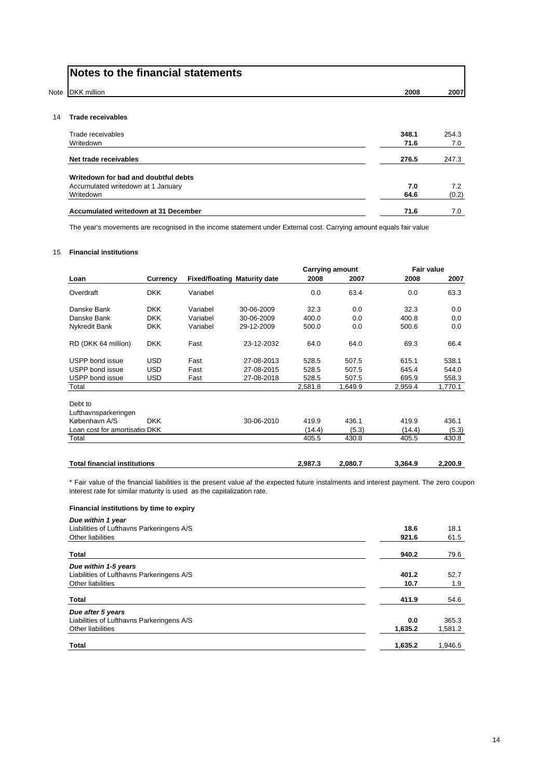|      | Notes to the financial statements    |               |              |  |
|------|--------------------------------------|---------------|--------------|--|
| Note | DKK million                          | 2008          | 2007         |  |
| 14   | <b>Trade receivables</b>             |               |              |  |
|      | Trade receivables<br>Writedown       | 348.1<br>71.6 | 254.3<br>7.0 |  |
|      | Net trade receivables                | 276.5         | 247.3        |  |
|      | Writedown for bad and doubtful debts |               |              |  |
|      | Accumulated writedown at 1 January   | 7.0           | 7.2          |  |
|      | Writedown                            | 64.6          | (0.2)        |  |
|      | Accumulated writedown at 31 December | 71.6          | 7.0          |  |

The year's movements are recognised in the income statement under External cost. Carrying amount equals fair value

#### 15 **Financial institutions**

|                                       |            |          |                                     |         | <b>Carrying amount</b> | <b>Fair value</b> |         |
|---------------------------------------|------------|----------|-------------------------------------|---------|------------------------|-------------------|---------|
| Loan                                  | Currency   |          | <b>Fixed/floating Maturity date</b> | 2008    | 2007                   | 2008              | 2007    |
| Overdraft                             | <b>DKK</b> | Variabel |                                     | 0.0     | 63.4                   | 0.0               | 63.3    |
| Danske Bank                           | <b>DKK</b> | Variabel | 30-06-2009                          | 32.3    | 0.0                    | 32.3              | 0.0     |
| Danske Bank                           | <b>DKK</b> | Variabel | 30-06-2009                          | 400.0   | 0.0                    | 400.8             | 0.0     |
| Nykredit Bank                         | <b>DKK</b> | Variabel | 29-12-2009                          | 500.0   | 0.0                    | 500.6             | 0.0     |
| RD (DKK 64 million)                   | <b>DKK</b> | Fast     | 23-12-2032                          | 64.0    | 64.0                   | 69.3              | 66.4    |
| USPP bond issue                       | <b>USD</b> | Fast     | 27-08-2013                          | 528.5   | 507.5                  | 615.1             | 538.1   |
| USPP bond issue                       | <b>USD</b> | Fast     | 27-08-2015                          | 528.5   | 507.5                  | 645.4             | 544.0   |
| USPP bond issue                       | <b>USD</b> | Fast     | 27-08-2018                          | 528.5   | 507.5                  | 695.9             | 558.3   |
| Total                                 |            |          |                                     | 2,581.8 | 1,649.9                | 2,959.4           | 1,770.1 |
| Debt to                               |            |          |                                     |         |                        |                   |         |
| Lufthavnsparkeringen<br>København A/S | <b>DKK</b> |          | 30-06-2010                          | 419.9   | 436.1                  | 419.9             | 436.1   |
|                                       |            |          |                                     |         |                        |                   |         |
| Loan cost for amortisatio DKK         |            |          |                                     | (14.4)  | (5.3)                  | (14.4)            | (5.3)   |
| Total                                 |            |          |                                     | 405.5   | 430.8                  | 405.5             | 430.8   |

\* Fair value of the financial liabilities is the present value af the expected future instalments and interest payment. The zero coupon interest rate for similar maturity is used as the capitalization rate.

**Total financial institutions 2,987.3 2,080.7 3,364.9 2,200.9**

#### **Financial institutions by time to expiry**

| Due within 1 year                         |         |         |
|-------------------------------------------|---------|---------|
| Liabilities of Lufthavns Parkeringens A/S | 18.6    | 18.1    |
| Other liabilities                         | 921.6   | 61.5    |
| <b>Total</b>                              | 940.2   | 79.6    |
| Due within 1-5 years                      |         |         |
| Liabilities of Lufthavns Parkeringens A/S | 401.2   | 52.7    |
| Other liabilities                         | 10.7    | 1.9     |
| <b>Total</b>                              | 411.9   | 54.6    |
| Due after 5 years                         |         |         |
| Liabilities of Lufthavns Parkeringens A/S | 0.0     | 365.3   |
| Other liabilities                         | 1,635.2 | 1,581.2 |
| <b>Total</b>                              | 1,635.2 | 1,946.5 |
|                                           |         |         |